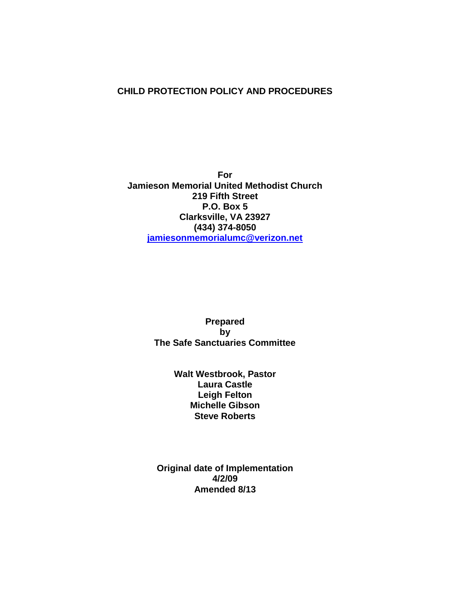#### **CHILD PROTECTION POLICY AND PROCEDURES**

**For Jamieson Memorial United Methodist Church 219 Fifth Street P.O. Box 5 Clarksville, VA 23927 (434) 374-8050 [jamiesonmemorialumc@verizon.net](mailto:jamiesonmemorialumc@verizon.net)**

> **Prepared by The Safe Sanctuaries Committee**

> > **Walt Westbrook, Pastor Laura Castle Leigh Felton Michelle Gibson Steve Roberts**

**Original date of Implementation 4/2/09 Amended 8/13**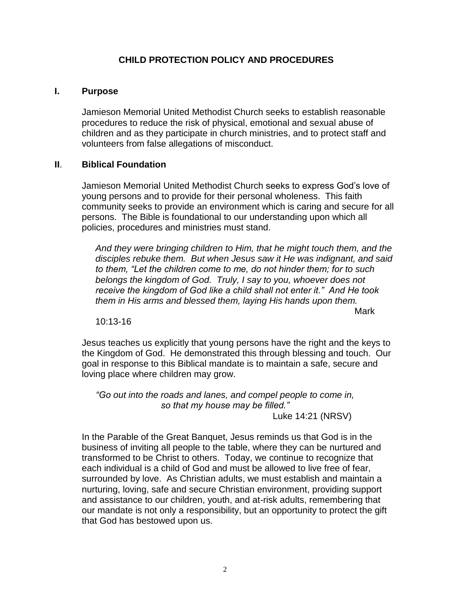# **CHILD PROTECTION POLICY AND PROCEDURES**

#### **I. Purpose**

Jamieson Memorial United Methodist Church seeks to establish reasonable procedures to reduce the risk of physical, emotional and sexual abuse of children and as they participate in church ministries, and to protect staff and volunteers from false allegations of misconduct.

#### **II**. **Biblical Foundation**

Jamieson Memorial United Methodist Church seeks to express God's love of young persons and to provide for their personal wholeness. This faith community seeks to provide an environment which is caring and secure for all persons. The Bible is foundational to our understanding upon which all policies, procedures and ministries must stand.

*And they were bringing children to Him, that he might touch them, and the disciples rebuke them. But when Jesus saw it He was indignant, and said to them, "Let the children come to me, do not hinder them; for to such belongs the kingdom of God. Truly, I say to you, whoever does not receive the kingdom of God like a child shall not enter it." And He took them in His arms and blessed them, laying His hands upon them.*

Mark

10:13-16

Jesus teaches us explicitly that young persons have the right and the keys to the Kingdom of God. He demonstrated this through blessing and touch. Our goal in response to this Biblical mandate is to maintain a safe, secure and loving place where children may grow.

*"Go out into the roads and lanes, and compel people to come in, so that my house may be filled."* Luke 14:21 (NRSV)

In the Parable of the Great Banquet, Jesus reminds us that God is in the business of inviting all people to the table, where they can be nurtured and transformed to be Christ to others. Today, we continue to recognize that each individual is a child of God and must be allowed to live free of fear, surrounded by love. As Christian adults, we must establish and maintain a nurturing, loving, safe and secure Christian environment, providing support and assistance to our children, youth, and at-risk adults, remembering that our mandate is not only a responsibility, but an opportunity to protect the gift that God has bestowed upon us.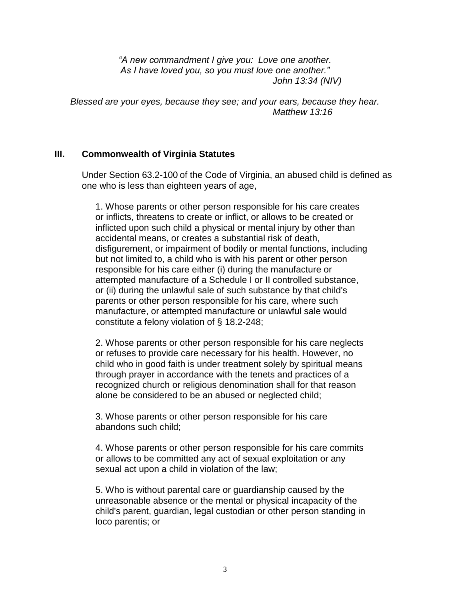*"A new commandment I give you: Love one another. As I have loved you, so you must love one another." John 13:34 (NIV)*

*Blessed are your eyes, because they see; and your ears, because they hear. Matthew 13:16*

### **III. Commonwealth of Virginia Statutes**

Under Section 63.2-100 of the Code of Virginia, an abused child is defined as one who is less than eighteen years of age,

1. Whose parents or other person responsible for his care creates or inflicts, threatens to create or inflict, or allows to be created or inflicted upon such child a physical or mental injury by other than accidental means, or creates a substantial risk of death, disfigurement, or impairment of bodily or mental functions, including but not limited to, a child who is with his parent or other person responsible for his care either (i) during the manufacture or attempted manufacture of a Schedule I or II controlled substance, or (ii) during the unlawful sale of such substance by that child's parents or other person responsible for his care, where such manufacture, or attempted manufacture or unlawful sale would constitute a felony violation of § 18.2-248;

2. Whose parents or other person responsible for his care neglects or refuses to provide care necessary for his health. However, no child who in good faith is under treatment solely by spiritual means through prayer in accordance with the tenets and practices of a recognized church or religious denomination shall for that reason alone be considered to be an abused or neglected child;

3. Whose parents or other person responsible for his care abandons such child;

4. Whose parents or other person responsible for his care commits or allows to be committed any act of sexual exploitation or any sexual act upon a child in violation of the law;

5. Who is without parental care or guardianship caused by the unreasonable absence or the mental or physical incapacity of the child's parent, guardian, legal custodian or other person standing in loco parentis; or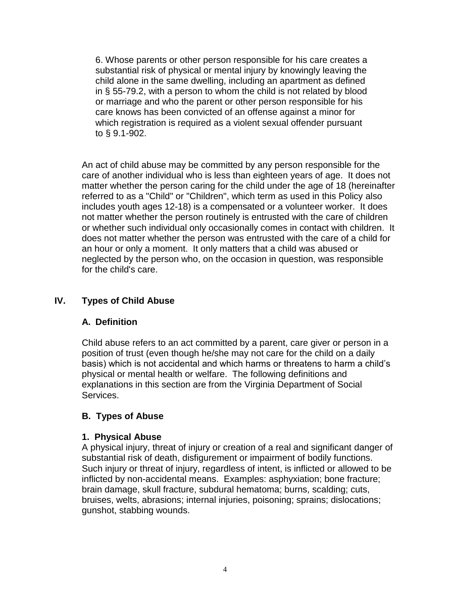6. Whose parents or other person responsible for his care creates a substantial risk of physical or mental injury by knowingly leaving the child alone in the same dwelling, including an apartment as defined in § 55-79.2, with a person to whom the child is not related by blood or marriage and who the parent or other person responsible for his care knows has been convicted of an offense against a minor for which registration is required as a violent sexual offender pursuant to § 9.1-902.

An act of child abuse may be committed by any person responsible for the care of another individual who is less than eighteen years of age. It does not matter whether the person caring for the child under the age of 18 (hereinafter referred to as a "Child" or "Children", which term as used in this Policy also includes youth ages 12-18) is a compensated or a volunteer worker. It does not matter whether the person routinely is entrusted with the care of children or whether such individual only occasionally comes in contact with children. It does not matter whether the person was entrusted with the care of a child for an hour or only a moment. It only matters that a child was abused or neglected by the person who, on the occasion in question, was responsible for the child's care.

# **IV. Types of Child Abuse**

### **A. Definition**

Child abuse refers to an act committed by a parent, care giver or person in a position of trust (even though he/she may not care for the child on a daily basis) which is not accidental and which harms or threatens to harm a child's physical or mental health or welfare. The following definitions and explanations in this section are from the Virginia Department of Social Services.

### **B. Types of Abuse**

### **1. Physical Abuse**

A physical injury, threat of injury or creation of a real and significant danger of substantial risk of death, disfigurement or impairment of bodily functions. Such injury or threat of injury, regardless of intent, is inflicted or allowed to be inflicted by non-accidental means. Examples: asphyxiation; bone fracture; brain damage, skull fracture, subdural hematoma; burns, scalding; cuts, bruises, welts, abrasions; internal injuries, poisoning; sprains; dislocations; gunshot, stabbing wounds.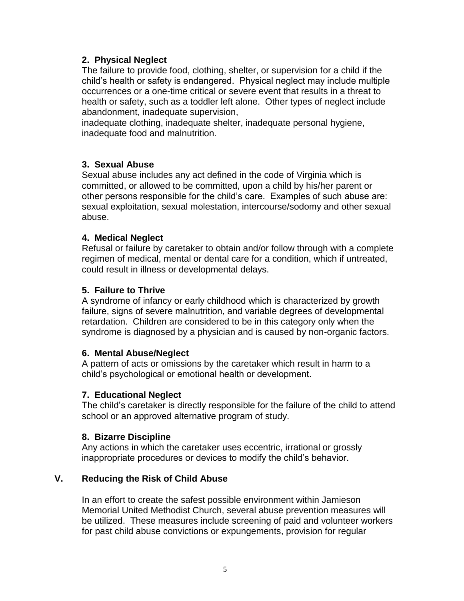## **2. Physical Neglect**

The failure to provide food, clothing, shelter, or supervision for a child if the child's health or safety is endangered. Physical neglect may include multiple occurrences or a one-time critical or severe event that results in a threat to health or safety, such as a toddler left alone. Other types of neglect include abandonment, inadequate supervision,

inadequate clothing, inadequate shelter, inadequate personal hygiene, inadequate food and malnutrition.

## **3. Sexual Abuse**

Sexual abuse includes any act defined in the code of Virginia which is committed, or allowed to be committed, upon a child by his/her parent or other persons responsible for the child's care. Examples of such abuse are: sexual exploitation, sexual molestation, intercourse/sodomy and other sexual abuse.

### **4. Medical Neglect**

Refusal or failure by caretaker to obtain and/or follow through with a complete regimen of medical, mental or dental care for a condition, which if untreated, could result in illness or developmental delays.

### **5. Failure to Thrive**

A syndrome of infancy or early childhood which is characterized by growth failure, signs of severe malnutrition, and variable degrees of developmental retardation. Children are considered to be in this category only when the syndrome is diagnosed by a physician and is caused by non-organic factors.

### **6. Mental Abuse/Neglect**

A pattern of acts or omissions by the caretaker which result in harm to a child's psychological or emotional health or development.

### **7. Educational Neglect**

The child's caretaker is directly responsible for the failure of the child to attend school or an approved alternative program of study.

### **8. Bizarre Discipline**

Any actions in which the caretaker uses eccentric, irrational or grossly inappropriate procedures or devices to modify the child's behavior.

# **V. Reducing the Risk of Child Abuse**

In an effort to create the safest possible environment within Jamieson Memorial United Methodist Church, several abuse prevention measures will be utilized. These measures include screening of paid and volunteer workers for past child abuse convictions or expungements, provision for regular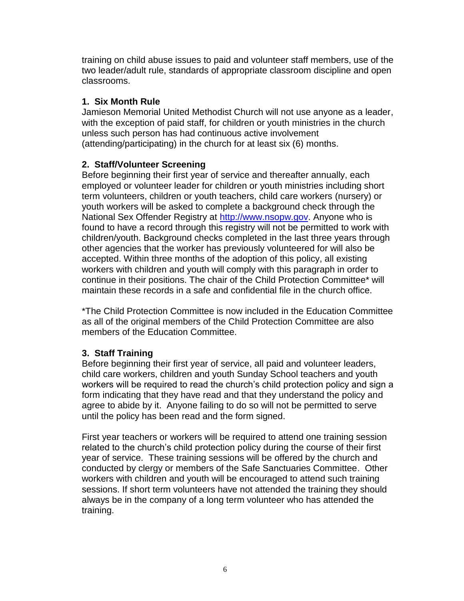training on child abuse issues to paid and volunteer staff members, use of the two leader/adult rule, standards of appropriate classroom discipline and open classrooms.

# **1. Six Month Rule**

Jamieson Memorial United Methodist Church will not use anyone as a leader, with the exception of paid staff, for children or youth ministries in the church unless such person has had continuous active involvement (attending/participating) in the church for at least six (6) months.

## **2. Staff/Volunteer Screening**

Before beginning their first year of service and thereafter annually, each employed or volunteer leader for children or youth ministries including short term volunteers, children or youth teachers, child care workers (nursery) or youth workers will be asked to complete a background check through the National Sex Offender Registry at [http://www.nsopw.gov.](http://www.nsopw.gov/) Anyone who is found to have a record through this registry will not be permitted to work with children/youth. Background checks completed in the last three years through other agencies that the worker has previously volunteered for will also be accepted. Within three months of the adoption of this policy, all existing workers with children and youth will comply with this paragraph in order to continue in their positions. The chair of the Child Protection Committee\* will maintain these records in a safe and confidential file in the church office.

\*The Child Protection Committee is now included in the Education Committee as all of the original members of the Child Protection Committee are also members of the Education Committee.

# **3. Staff Training**

Before beginning their first year of service, all paid and volunteer leaders, child care workers, children and youth Sunday School teachers and youth workers will be required to read the church's child protection policy and sign a form indicating that they have read and that they understand the policy and agree to abide by it. Anyone failing to do so will not be permitted to serve until the policy has been read and the form signed.

First year teachers or workers will be required to attend one training session related to the church's child protection policy during the course of their first year of service. These training sessions will be offered by the church and conducted by clergy or members of the Safe Sanctuaries Committee. Other workers with children and youth will be encouraged to attend such training sessions. If short term volunteers have not attended the training they should always be in the company of a long term volunteer who has attended the training.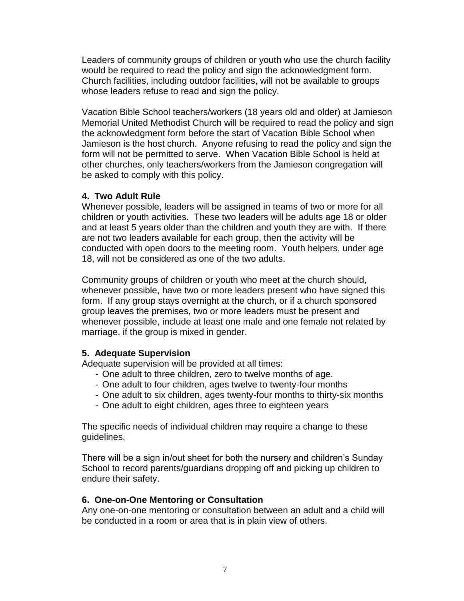Leaders of community groups of children or youth who use the church facility would be required to read the policy and sign the acknowledgment form. Church facilities, including outdoor facilities, will not be available to groups whose leaders refuse to read and sign the policy.

Vacation Bible School teachers/workers (18 years old and older) at Jamieson Memorial United Methodist Church will be required to read the policy and sign the acknowledgment form before the start of Vacation Bible School when Jamieson is the host church. Anyone refusing to read the policy and sign the form will not be permitted to serve. When Vacation Bible School is held at other churches, only teachers/workers from the Jamieson congregation will be asked to comply with this policy.

### **4. Two Adult Rule**

Whenever possible, leaders will be assigned in teams of two or more for all children or youth activities. These two leaders will be adults age 18 or older and at least 5 years older than the children and youth they are with. If there are not two leaders available for each group, then the activity will be conducted with open doors to the meeting room. Youth helpers, under age 18, will not be considered as one of the two adults.

Community groups of children or youth who meet at the church should, whenever possible, have two or more leaders present who have signed this form. If any group stays overnight at the church, or if a church sponsored group leaves the premises, two or more leaders must be present and whenever possible, include at least one male and one female not related by marriage, if the group is mixed in gender.

# **5. Adequate Supervision**

Adequate supervision will be provided at all times:

- One adult to three children, zero to twelve months of age.
- One adult to four children, ages twelve to twenty-four months
- One adult to six children, ages twenty-four months to thirty-six months
- One adult to eight children, ages three to eighteen years

The specific needs of individual children may require a change to these guidelines.

There will be a sign in/out sheet for both the nursery and children's Sunday School to record parents/guardians dropping off and picking up children to endure their safety.

# **6. One-on-One Mentoring or Consultation**

Any one-on-one mentoring or consultation between an adult and a child will be conducted in a room or area that is in plain view of others.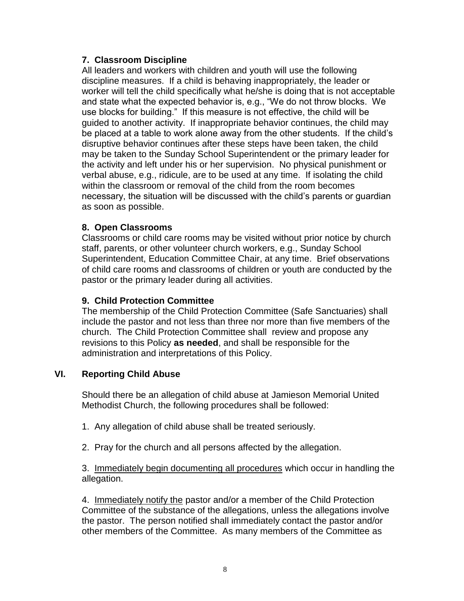## **7. Classroom Discipline**

All leaders and workers with children and youth will use the following discipline measures. If a child is behaving inappropriately, the leader or worker will tell the child specifically what he/she is doing that is not acceptable and state what the expected behavior is, e.g., "We do not throw blocks. We use blocks for building." If this measure is not effective, the child will be guided to another activity. If inappropriate behavior continues, the child may be placed at a table to work alone away from the other students. If the child's disruptive behavior continues after these steps have been taken, the child may be taken to the Sunday School Superintendent or the primary leader for the activity and left under his or her supervision. No physical punishment or verbal abuse, e.g., ridicule, are to be used at any time. If isolating the child within the classroom or removal of the child from the room becomes necessary, the situation will be discussed with the child's parents or guardian as soon as possible.

## **8. Open Classrooms**

Classrooms or child care rooms may be visited without prior notice by church staff, parents, or other volunteer church workers, e.g., Sunday School Superintendent, Education Committee Chair, at any time. Brief observations of child care rooms and classrooms of children or youth are conducted by the pastor or the primary leader during all activities.

## **9. Child Protection Committee**

The membership of the Child Protection Committee (Safe Sanctuaries) shall include the pastor and not less than three nor more than five members of the church. The Child Protection Committee shall review and propose any revisions to this Policy **as needed**, and shall be responsible for the administration and interpretations of this Policy.

# **VI. Reporting Child Abuse**

Should there be an allegation of child abuse at Jamieson Memorial United Methodist Church, the following procedures shall be followed:

- 1. Any allegation of child abuse shall be treated seriously.
- 2. Pray for the church and all persons affected by the allegation.

3. Immediately begin documenting all procedures which occur in handling the allegation.

4. Immediately notify the pastor and/or a member of the Child Protection Committee of the substance of the allegations, unless the allegations involve the pastor. The person notified shall immediately contact the pastor and/or other members of the Committee. As many members of the Committee as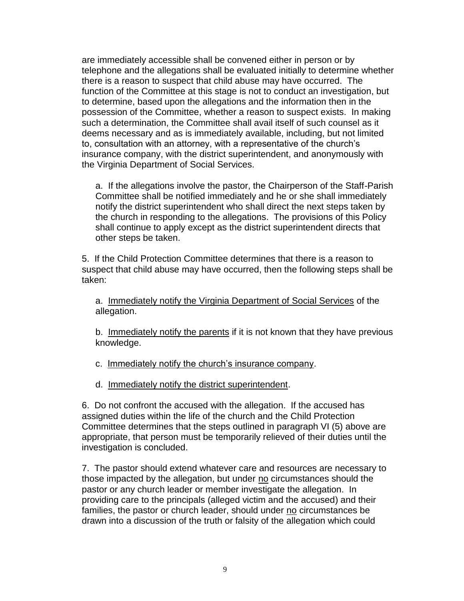are immediately accessible shall be convened either in person or by telephone and the allegations shall be evaluated initially to determine whether there is a reason to suspect that child abuse may have occurred. The function of the Committee at this stage is not to conduct an investigation, but to determine, based upon the allegations and the information then in the possession of the Committee, whether a reason to suspect exists. In making such a determination, the Committee shall avail itself of such counsel as it deems necessary and as is immediately available, including, but not limited to, consultation with an attorney, with a representative of the church's insurance company, with the district superintendent, and anonymously with the Virginia Department of Social Services.

a. If the allegations involve the pastor, the Chairperson of the Staff-Parish Committee shall be notified immediately and he or she shall immediately notify the district superintendent who shall direct the next steps taken by the church in responding to the allegations. The provisions of this Policy shall continue to apply except as the district superintendent directs that other steps be taken.

5. If the Child Protection Committee determines that there is a reason to suspect that child abuse may have occurred, then the following steps shall be taken:

a. Immediately notify the Virginia Department of Social Services of the allegation.

b. Immediately notify the parents if it is not known that they have previous knowledge.

c. Immediately notify the church's insurance company.

d. Immediately notify the district superintendent.

6. Do not confront the accused with the allegation. If the accused has assigned duties within the life of the church and the Child Protection Committee determines that the steps outlined in paragraph VI (5) above are appropriate, that person must be temporarily relieved of their duties until the investigation is concluded.

7. The pastor should extend whatever care and resources are necessary to those impacted by the allegation, but under no circumstances should the pastor or any church leader or member investigate the allegation. In providing care to the principals (alleged victim and the accused) and their families, the pastor or church leader, should under no circumstances be drawn into a discussion of the truth or falsity of the allegation which could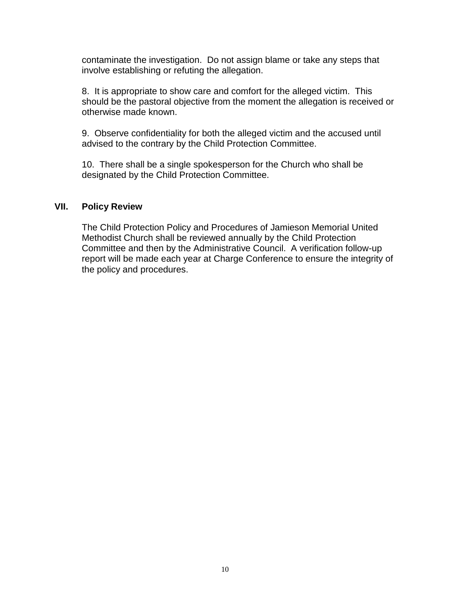contaminate the investigation. Do not assign blame or take any steps that involve establishing or refuting the allegation.

8. It is appropriate to show care and comfort for the alleged victim. This should be the pastoral objective from the moment the allegation is received or otherwise made known.

9. Observe confidentiality for both the alleged victim and the accused until advised to the contrary by the Child Protection Committee.

10. There shall be a single spokesperson for the Church who shall be designated by the Child Protection Committee.

#### **VII. Policy Review**

The Child Protection Policy and Procedures of Jamieson Memorial United Methodist Church shall be reviewed annually by the Child Protection Committee and then by the Administrative Council. A verification follow-up report will be made each year at Charge Conference to ensure the integrity of the policy and procedures.